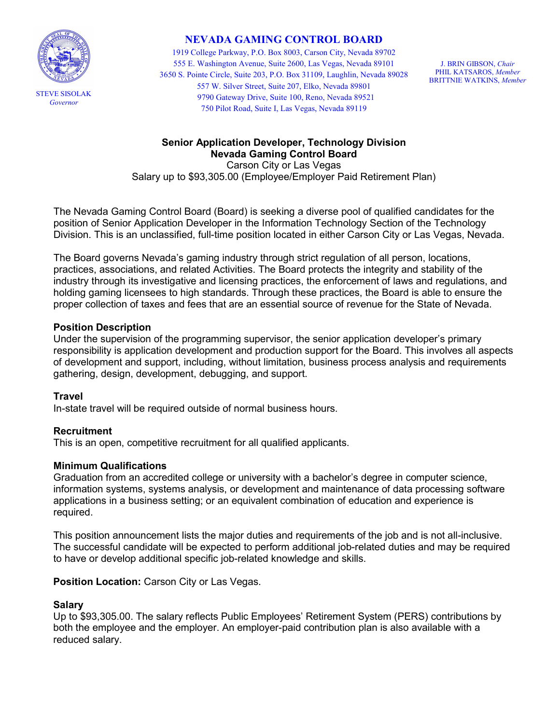

# NEVADA GAMING CONTROL BOARD

 1919 College Parkway, P.O. Box 8003, Carson City, Nevada 89702 555 E. Washington Avenue, Suite 2600, Las Vegas, Nevada 89101 J. BRIN GIBSON, Chair 3650 S. Pointe Circle, Suite 203, P.O. Box 31109, Laughlin, Nevada 89028 PHIL KATSAROS, Member STEVE SISOLAK <sup>9790</sup> Gateway Drive, Suite 100, Reno, Nevada <sup>89521</sup> Governor 750 Pilot Road, Suite I, Las Vegas, Nevada 89119 557 W. Silver Street, Suite 207, Elko, Nevada 89801

J. BRIN GIBSON, Chair BRITTNIE WATKINS, Member

### Senior Application Developer, Technology Division Nevada Gaming Control Board

 Carson City or Las Vegas Salary up to [\\$93,305.00](https://93,305.00) (Employee/Employer Paid Retirement Plan)

 The Nevada Gaming Control Board (Board) is seeking a diverse pool of qualified candidates for the position of Senior Application Developer in the Information Technology Section of the Technology Division. This is an unclassified, full-time position located in either Carson City or Las Vegas, Nevada.

 The Board governs Nevada's gaming industry through strict regulation of all person, locations, practices, associations, and related Activities. The Board protects the integrity and stability of the industry through its investigative and licensing practices, the enforcement of laws and regulations, and holding gaming licensees to high standards. Through these practices, the Board is able to ensure the proper collection of taxes and fees that are an essential source of revenue for the State of Nevada.

### Position Description

 Under the supervision of the programming supervisor, the senior application developer's primary responsibility is application development and production support for the Board. This involves all aspects of development and support, including, without limitation, business process analysis and requirements gathering, design, development, debugging, and support.

#### **Travel**

In-state travel will be required outside of normal business hours.

# Recruitment

This is an open, competitive recruitment for all qualified applicants.

# Minimum Qualifications

 Graduation from an accredited college or university with a bachelor's degree in computer science, information systems, systems analysis, or development and maintenance of data processing software applications in a business setting; or an equivalent combination of education and experience is required.

 This position announcement lists the major duties and requirements of the job and is not all-inclusive. The successful candidate will be expected to perform additional job-related duties and may be required to have or develop additional specific job-related knowledge and skills.

# Position Location: Carson City or Las Vegas.

#### Salary

 Up to \$[93,305.00.](https://93,305.00) The salary reflects Public Employees' Retirement System (PERS) contributions by both the employee and the employer. An employer-paid contribution plan is also available with a reduced salary.